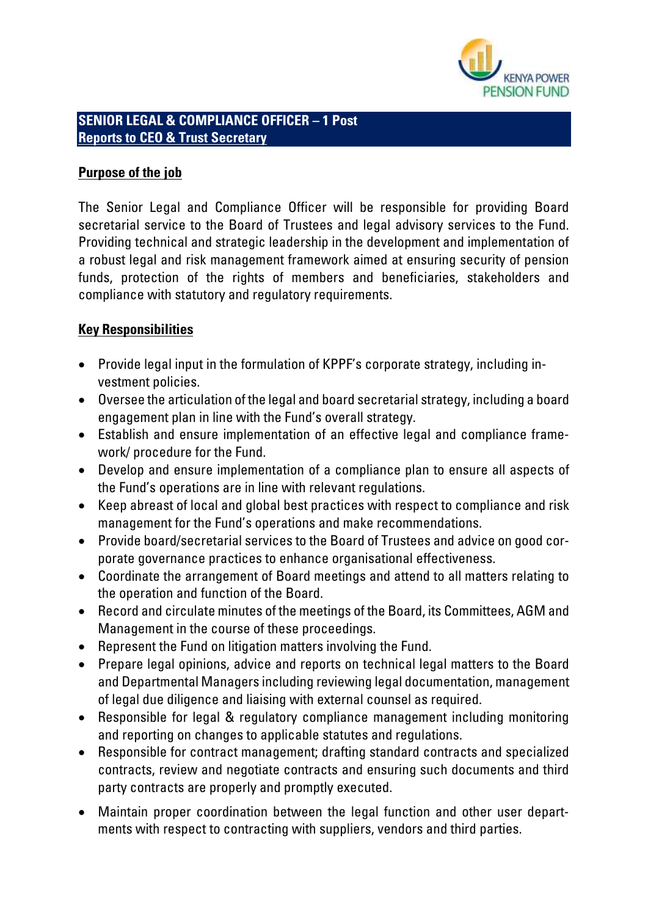

### **SENIOR LEGAL & COMPLIANCE OFFICER – 1 Post Reports to CEO & Trust Secretary**

### **Purpose of the job**

The Senior Legal and Compliance Officer will be responsible for providing Board secretarial service to the Board of Trustees and legal advisory services to the Fund. Providing technical and strategic leadership in the development and implementation of a robust legal and risk management framework aimed at ensuring security of pension funds, protection of the rights of members and beneficiaries, stakeholders and compliance with statutory and regulatory requirements.

# **Key Responsibilities**

- Provide legal input in the formulation of KPPF's corporate strategy, including investment policies.
- Oversee the articulation of the legal and board secretarial strategy, including a board engagement plan in line with the Fund's overall strategy.
- Establish and ensure implementation of an effective legal and compliance framework/ procedure for the Fund.
- Develop and ensure implementation of a compliance plan to ensure all aspects of the Fund's operations are in line with relevant regulations.
- Keep abreast of local and global best practices with respect to compliance and risk management for the Fund's operations and make recommendations.
- Provide board/secretarial services to the Board of Trustees and advice on good corporate governance practices to enhance organisational effectiveness.
- Coordinate the arrangement of Board meetings and attend to all matters relating to the operation and function of the Board.
- Record and circulate minutes of the meetings of the Board, its Committees, AGM and Management in the course of these proceedings.
- Represent the Fund on litigation matters involving the Fund.
- Prepare legal opinions, advice and reports on technical legal matters to the Board and Departmental Managers including reviewing legal documentation, management of legal due diligence and liaising with external counsel as required.
- Responsible for legal & regulatory compliance management including monitoring and reporting on changes to applicable statutes and regulations.
- Responsible for contract management; drafting standard contracts and specialized contracts, review and negotiate contracts and ensuring such documents and third party contracts are properly and promptly executed.
- Maintain proper coordination between the legal function and other user departments with respect to contracting with suppliers, vendors and third parties.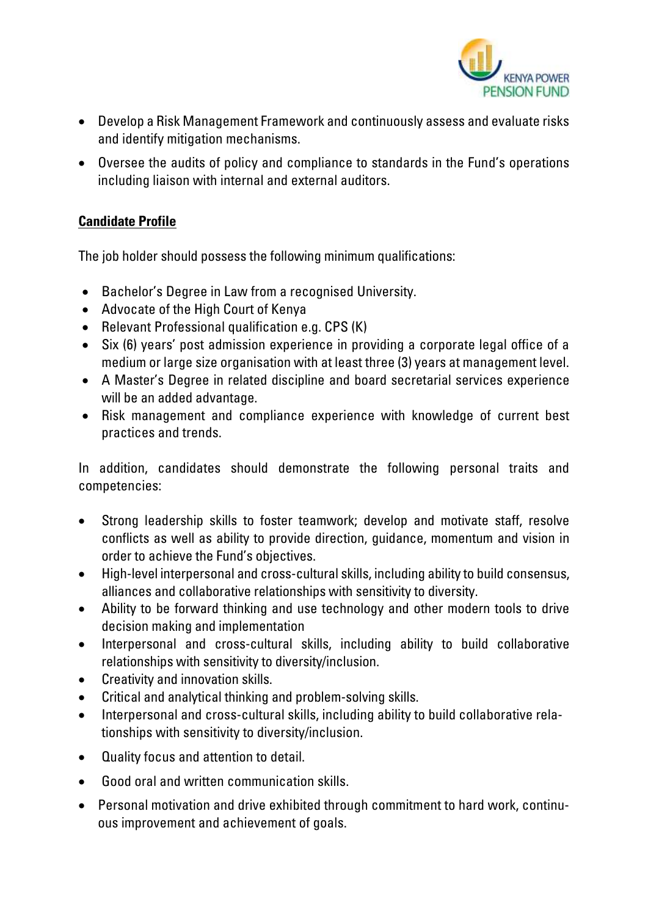

- Develop a Risk Management Framework and continuously assess and evaluate risks and identify mitigation mechanisms.
- Oversee the audits of policy and compliance to standards in the Fund's operations including liaison with internal and external auditors.

# **Candidate Profile**

The job holder should possess the following minimum qualifications:

- Bachelor's Degree in Law from a recognised University.
- Advocate of the High Court of Kenya
- Relevant Professional qualification e.g. CPS (K)
- Six (6) years' post admission experience in providing a corporate legal office of a medium or large size organisation with at least three (3) years at management level.
- A Master's Degree in related discipline and board secretarial services experience will be an added advantage.
- Risk management and compliance experience with knowledge of current best practices and trends.

In addition, candidates should demonstrate the following personal traits and competencies:

- Strong leadership skills to foster teamwork; develop and motivate staff, resolve conflicts as well as ability to provide direction, guidance, momentum and vision in order to achieve the Fund's objectives.
- High-level interpersonal and cross-cultural skills, including ability to build consensus, alliances and collaborative relationships with sensitivity to diversity.
- Ability to be forward thinking and use technology and other modern tools to drive decision making and implementation
- Interpersonal and cross-cultural skills, including ability to build collaborative relationships with sensitivity to diversity/inclusion.
- Creativity and innovation skills.
- Critical and analytical thinking and problem-solving skills.
- Interpersonal and cross-cultural skills, including ability to build collaborative relationships with sensitivity to diversity/inclusion.
- Quality focus and attention to detail.
- Good oral and written communication skills.
- Personal motivation and drive exhibited through commitment to hard work, continuous improvement and achievement of goals.